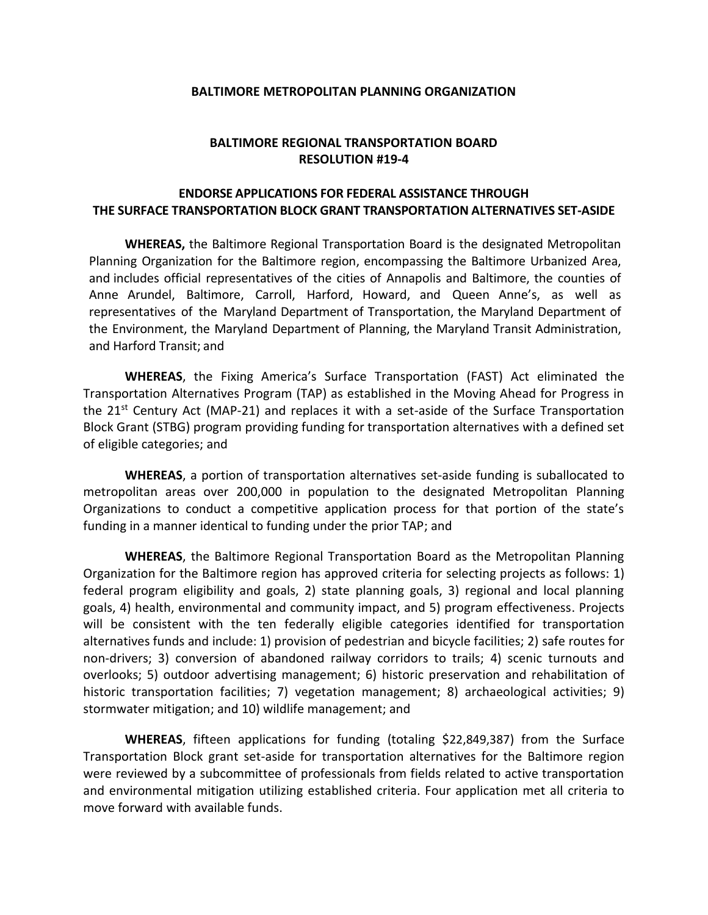## **BALTIMORE METROPOLITAN PLANNING ORGANIZATION**

## **BALTIMORE REGIONAL TRANSPORTATION BOARD RESOLUTION #19-4**

## **ENDORSE APPLICATIONS FOR FEDERAL ASSISTANCE THROUGH THE SURFACE TRANSPORTATION BLOCK GRANT TRANSPORTATION ALTERNATIVES SET-ASIDE**

**WHEREAS,** the Baltimore Regional Transportation Board is the designated Metropolitan Planning Organization for the Baltimore region, encompassing the Baltimore Urbanized Area, and includes official representatives of the cities of Annapolis and Baltimore, the counties of Anne Arundel, Baltimore, Carroll, Harford, Howard, and Queen Anne's, as well as representatives of the Maryland Department of Transportation, the Maryland Department of the Environment, the Maryland Department of Planning, the Maryland Transit Administration, and Harford Transit; and

**WHEREAS**, the Fixing America's Surface Transportation (FAST) Act eliminated the Transportation Alternatives Program (TAP) as established in the Moving Ahead for Progress in the  $21<sup>st</sup>$  Century Act (MAP-21) and replaces it with a set-aside of the Surface Transportation Block Grant (STBG) program providing funding for transportation alternatives with a defined set of eligible categories; and

**WHEREAS**, a portion of transportation alternatives set-aside funding is suballocated to metropolitan areas over 200,000 in population to the designated Metropolitan Planning Organizations to conduct a competitive application process for that portion of the state's funding in a manner identical to funding under the prior TAP; and

**WHEREAS**, the Baltimore Regional Transportation Board as the Metropolitan Planning Organization for the Baltimore region has approved criteria for selecting projects as follows: 1) federal program eligibility and goals, 2) state planning goals, 3) regional and local planning goals, 4) health, environmental and community impact, and 5) program effectiveness. Projects will be consistent with the ten federally eligible categories identified for transportation alternatives funds and include: 1) provision of pedestrian and bicycle facilities; 2) safe routes for non-drivers; 3) conversion of abandoned railway corridors to trails; 4) scenic turnouts and overlooks; 5) outdoor advertising management; 6) historic preservation and rehabilitation of historic transportation facilities; 7) vegetation management; 8) archaeological activities; 9) stormwater mitigation; and 10) wildlife management; and

**WHEREAS**, fifteen applications for funding (totaling \$22,849,387) from the Surface Transportation Block grant set-aside for transportation alternatives for the Baltimore region were reviewed by a subcommittee of professionals from fields related to active transportation and environmental mitigation utilizing established criteria. Four application met all criteria to move forward with available funds.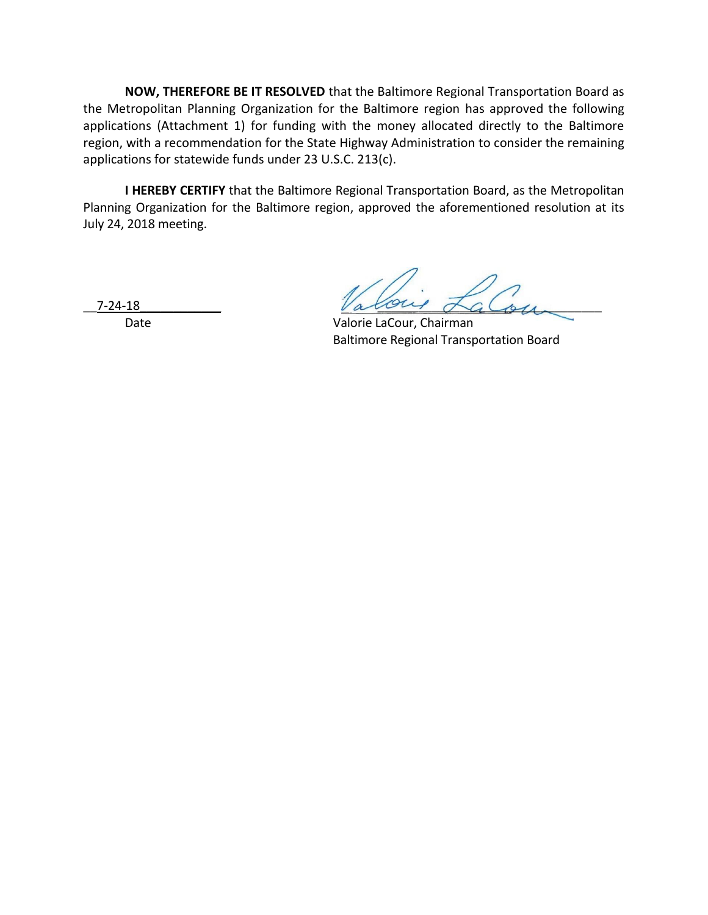**NOW, THEREFORE BE IT RESOLVED** that the Baltimore Regional Transportation Board as the Metropolitan Planning Organization for the Baltimore region has approved the following applications (Attachment 1) for funding with the money allocated directly to the Baltimore region, with a recommendation for the State Highway Administration to consider the remaining applications for statewide funds under 23 U.S.C. 213(c).

**I HEREBY CERTIFY** that the Baltimore Regional Transportation Board, as the Metropolitan Planning Organization for the Baltimore region, approved the aforementioned resolution at its July 24, 2018 meeting.

 $\frac{7-24-18}{2}$  along  $\Delta G$ 

Date **Date** Valorie LaCour, Chairman Baltimore Regional Transportation Board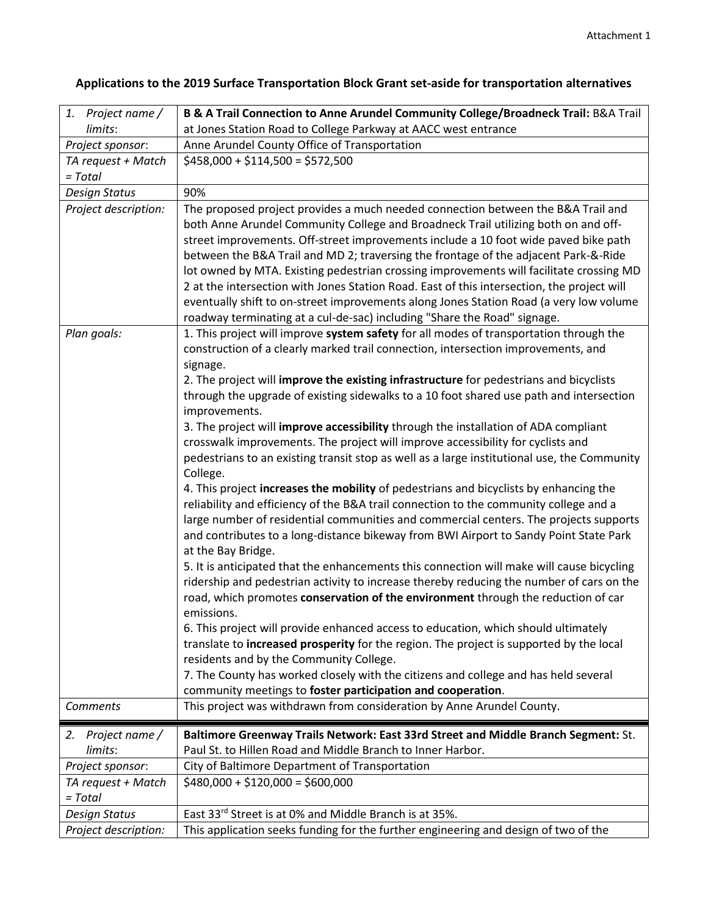| 1. Project name /               | B & A Trail Connection to Anne Arundel Community College/Broadneck Trail: B&A Trail                                                                                                                                                                                                                                                                                                                                                                                                                                                                                                                                                                                                                                                                                                                                                                                                                                                                                                                                                                                                                                                                                                                                                                                                                                                                                                                                                                                                                                                                                                                                                                                                                                                                        |
|---------------------------------|------------------------------------------------------------------------------------------------------------------------------------------------------------------------------------------------------------------------------------------------------------------------------------------------------------------------------------------------------------------------------------------------------------------------------------------------------------------------------------------------------------------------------------------------------------------------------------------------------------------------------------------------------------------------------------------------------------------------------------------------------------------------------------------------------------------------------------------------------------------------------------------------------------------------------------------------------------------------------------------------------------------------------------------------------------------------------------------------------------------------------------------------------------------------------------------------------------------------------------------------------------------------------------------------------------------------------------------------------------------------------------------------------------------------------------------------------------------------------------------------------------------------------------------------------------------------------------------------------------------------------------------------------------------------------------------------------------------------------------------------------------|
| limits:                         | at Jones Station Road to College Parkway at AACC west entrance                                                                                                                                                                                                                                                                                                                                                                                                                                                                                                                                                                                                                                                                                                                                                                                                                                                                                                                                                                                                                                                                                                                                                                                                                                                                                                                                                                                                                                                                                                                                                                                                                                                                                             |
| Project sponsor:                | Anne Arundel County Office of Transportation                                                                                                                                                                                                                                                                                                                                                                                                                                                                                                                                                                                                                                                                                                                                                                                                                                                                                                                                                                                                                                                                                                                                                                                                                                                                                                                                                                                                                                                                                                                                                                                                                                                                                                               |
| TA request + Match              | $$458,000 + $114,500 = $572,500$                                                                                                                                                                                                                                                                                                                                                                                                                                                                                                                                                                                                                                                                                                                                                                                                                                                                                                                                                                                                                                                                                                                                                                                                                                                                                                                                                                                                                                                                                                                                                                                                                                                                                                                           |
| $= Total$                       |                                                                                                                                                                                                                                                                                                                                                                                                                                                                                                                                                                                                                                                                                                                                                                                                                                                                                                                                                                                                                                                                                                                                                                                                                                                                                                                                                                                                                                                                                                                                                                                                                                                                                                                                                            |
| <b>Design Status</b>            | 90%                                                                                                                                                                                                                                                                                                                                                                                                                                                                                                                                                                                                                                                                                                                                                                                                                                                                                                                                                                                                                                                                                                                                                                                                                                                                                                                                                                                                                                                                                                                                                                                                                                                                                                                                                        |
| Project description:            | The proposed project provides a much needed connection between the B&A Trail and<br>both Anne Arundel Community College and Broadneck Trail utilizing both on and off-<br>street improvements. Off-street improvements include a 10 foot wide paved bike path<br>between the B&A Trail and MD 2; traversing the frontage of the adjacent Park-&-Ride<br>lot owned by MTA. Existing pedestrian crossing improvements will facilitate crossing MD<br>2 at the intersection with Jones Station Road. East of this intersection, the project will<br>eventually shift to on-street improvements along Jones Station Road (a very low volume<br>roadway terminating at a cul-de-sac) including "Share the Road" signage.                                                                                                                                                                                                                                                                                                                                                                                                                                                                                                                                                                                                                                                                                                                                                                                                                                                                                                                                                                                                                                        |
| Plan goals:                     | 1. This project will improve system safety for all modes of transportation through the<br>construction of a clearly marked trail connection, intersection improvements, and<br>signage.<br>2. The project will improve the existing infrastructure for pedestrians and bicyclists<br>through the upgrade of existing sidewalks to a 10 foot shared use path and intersection<br>improvements.<br>3. The project will improve accessibility through the installation of ADA compliant<br>crosswalk improvements. The project will improve accessibility for cyclists and<br>pedestrians to an existing transit stop as well as a large institutional use, the Community<br>College.<br>4. This project increases the mobility of pedestrians and bicyclists by enhancing the<br>reliability and efficiency of the B&A trail connection to the community college and a<br>large number of residential communities and commercial centers. The projects supports<br>and contributes to a long-distance bikeway from BWI Airport to Sandy Point State Park<br>at the Bay Bridge.<br>5. It is anticipated that the enhancements this connection will make will cause bicycling<br>ridership and pedestrian activity to increase thereby reducing the number of cars on the<br>road, which promotes conservation of the environment through the reduction of car<br>emissions.<br>6. This project will provide enhanced access to education, which should ultimately<br>translate to increased prosperity for the region. The project is supported by the local<br>residents and by the Community College.<br>7. The County has worked closely with the citizens and college and has held several<br>community meetings to foster participation and cooperation. |
| Comments                        | This project was withdrawn from consideration by Anne Arundel County.                                                                                                                                                                                                                                                                                                                                                                                                                                                                                                                                                                                                                                                                                                                                                                                                                                                                                                                                                                                                                                                                                                                                                                                                                                                                                                                                                                                                                                                                                                                                                                                                                                                                                      |
|                                 |                                                                                                                                                                                                                                                                                                                                                                                                                                                                                                                                                                                                                                                                                                                                                                                                                                                                                                                                                                                                                                                                                                                                                                                                                                                                                                                                                                                                                                                                                                                                                                                                                                                                                                                                                            |
| Project name /<br>2.<br>limits: | Baltimore Greenway Trails Network: East 33rd Street and Middle Branch Segment: St.<br>Paul St. to Hillen Road and Middle Branch to Inner Harbor.                                                                                                                                                                                                                                                                                                                                                                                                                                                                                                                                                                                                                                                                                                                                                                                                                                                                                                                                                                                                                                                                                                                                                                                                                                                                                                                                                                                                                                                                                                                                                                                                           |
| Project sponsor:                | City of Baltimore Department of Transportation                                                                                                                                                                                                                                                                                                                                                                                                                                                                                                                                                                                                                                                                                                                                                                                                                                                                                                                                                                                                                                                                                                                                                                                                                                                                                                                                                                                                                                                                                                                                                                                                                                                                                                             |
| TA request + Match<br>$= Total$ | $$480,000 + $120,000 = $600,000$                                                                                                                                                                                                                                                                                                                                                                                                                                                                                                                                                                                                                                                                                                                                                                                                                                                                                                                                                                                                                                                                                                                                                                                                                                                                                                                                                                                                                                                                                                                                                                                                                                                                                                                           |
| Design Status                   | East 33rd Street is at 0% and Middle Branch is at 35%.                                                                                                                                                                                                                                                                                                                                                                                                                                                                                                                                                                                                                                                                                                                                                                                                                                                                                                                                                                                                                                                                                                                                                                                                                                                                                                                                                                                                                                                                                                                                                                                                                                                                                                     |
| Project description:            | This application seeks funding for the further engineering and design of two of the                                                                                                                                                                                                                                                                                                                                                                                                                                                                                                                                                                                                                                                                                                                                                                                                                                                                                                                                                                                                                                                                                                                                                                                                                                                                                                                                                                                                                                                                                                                                                                                                                                                                        |

## **Applications to the 2019 Surface Transportation Block Grant set-aside for transportation alternatives**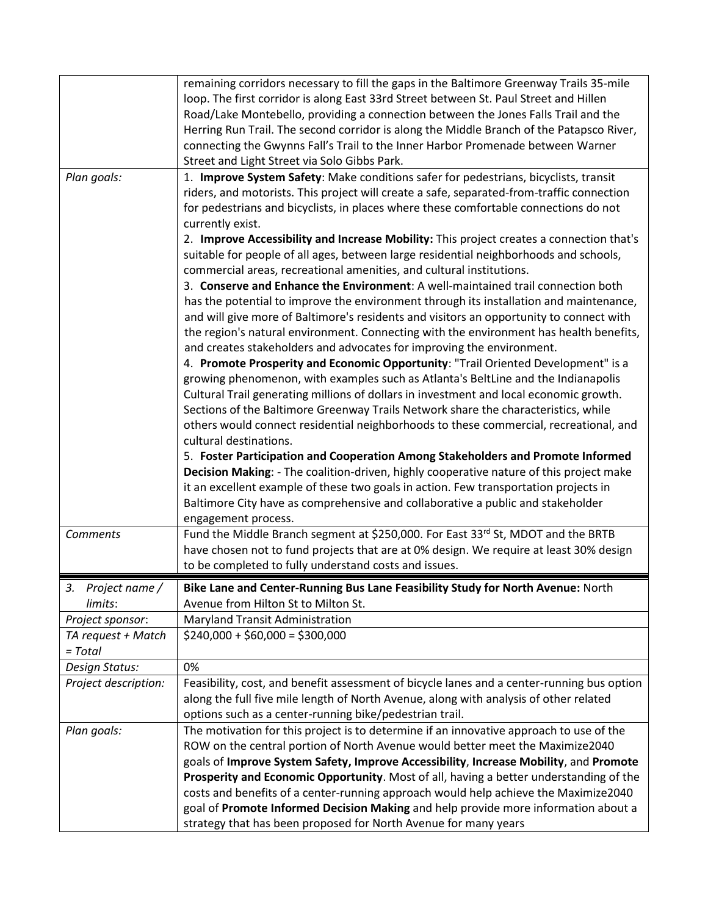|                                 | remaining corridors necessary to fill the gaps in the Baltimore Greenway Trails 35-mile<br>loop. The first corridor is along East 33rd Street between St. Paul Street and Hillen<br>Road/Lake Montebello, providing a connection between the Jones Falls Trail and the<br>Herring Run Trail. The second corridor is along the Middle Branch of the Patapsco River,<br>connecting the Gwynns Fall's Trail to the Inner Harbor Promenade between Warner                                                                                                                                                                                                                                                                                                                                                                                                                                                                                                                                                                                                                                                                                                                                                                                                                                                                                                                                                                                                                                                     |
|---------------------------------|-----------------------------------------------------------------------------------------------------------------------------------------------------------------------------------------------------------------------------------------------------------------------------------------------------------------------------------------------------------------------------------------------------------------------------------------------------------------------------------------------------------------------------------------------------------------------------------------------------------------------------------------------------------------------------------------------------------------------------------------------------------------------------------------------------------------------------------------------------------------------------------------------------------------------------------------------------------------------------------------------------------------------------------------------------------------------------------------------------------------------------------------------------------------------------------------------------------------------------------------------------------------------------------------------------------------------------------------------------------------------------------------------------------------------------------------------------------------------------------------------------------|
| Plan goals:                     | Street and Light Street via Solo Gibbs Park.<br>1. Improve System Safety: Make conditions safer for pedestrians, bicyclists, transit<br>riders, and motorists. This project will create a safe, separated-from-traffic connection<br>for pedestrians and bicyclists, in places where these comfortable connections do not<br>currently exist.<br>2. Improve Accessibility and Increase Mobility: This project creates a connection that's<br>suitable for people of all ages, between large residential neighborhoods and schools,<br>commercial areas, recreational amenities, and cultural institutions.<br>3. Conserve and Enhance the Environment: A well-maintained trail connection both<br>has the potential to improve the environment through its installation and maintenance,<br>and will give more of Baltimore's residents and visitors an opportunity to connect with<br>the region's natural environment. Connecting with the environment has health benefits,<br>and creates stakeholders and advocates for improving the environment.<br>4. Promote Prosperity and Economic Opportunity: "Trail Oriented Development" is a<br>growing phenomenon, with examples such as Atlanta's BeltLine and the Indianapolis<br>Cultural Trail generating millions of dollars in investment and local economic growth.<br>Sections of the Baltimore Greenway Trails Network share the characteristics, while<br>others would connect residential neighborhoods to these commercial, recreational, and |
|                                 | cultural destinations.<br>5. Foster Participation and Cooperation Among Stakeholders and Promote Informed<br>Decision Making: - The coalition-driven, highly cooperative nature of this project make<br>it an excellent example of these two goals in action. Few transportation projects in<br>Baltimore City have as comprehensive and collaborative a public and stakeholder<br>engagement process.                                                                                                                                                                                                                                                                                                                                                                                                                                                                                                                                                                                                                                                                                                                                                                                                                                                                                                                                                                                                                                                                                                    |
| <b>Comments</b>                 | Fund the Middle Branch segment at \$250,000. For East 33rd St, MDOT and the BRTB<br>have chosen not to fund projects that are at 0% design. We require at least 30% design<br>to be completed to fully understand costs and issues.                                                                                                                                                                                                                                                                                                                                                                                                                                                                                                                                                                                                                                                                                                                                                                                                                                                                                                                                                                                                                                                                                                                                                                                                                                                                       |
| З.<br>Project name /<br>limits: | Bike Lane and Center-Running Bus Lane Feasibility Study for North Avenue: North<br>Avenue from Hilton St to Milton St.                                                                                                                                                                                                                                                                                                                                                                                                                                                                                                                                                                                                                                                                                                                                                                                                                                                                                                                                                                                                                                                                                                                                                                                                                                                                                                                                                                                    |
| Project sponsor:                | Maryland Transit Administration                                                                                                                                                                                                                                                                                                                                                                                                                                                                                                                                                                                                                                                                                                                                                                                                                                                                                                                                                                                                                                                                                                                                                                                                                                                                                                                                                                                                                                                                           |
| TA request + Match<br>= Total   | $$240,000 + $60,000 = $300,000$                                                                                                                                                                                                                                                                                                                                                                                                                                                                                                                                                                                                                                                                                                                                                                                                                                                                                                                                                                                                                                                                                                                                                                                                                                                                                                                                                                                                                                                                           |
| Design Status:                  | 0%                                                                                                                                                                                                                                                                                                                                                                                                                                                                                                                                                                                                                                                                                                                                                                                                                                                                                                                                                                                                                                                                                                                                                                                                                                                                                                                                                                                                                                                                                                        |
| Project description:            | Feasibility, cost, and benefit assessment of bicycle lanes and a center-running bus option<br>along the full five mile length of North Avenue, along with analysis of other related<br>options such as a center-running bike/pedestrian trail.                                                                                                                                                                                                                                                                                                                                                                                                                                                                                                                                                                                                                                                                                                                                                                                                                                                                                                                                                                                                                                                                                                                                                                                                                                                            |
| Plan goals:                     | The motivation for this project is to determine if an innovative approach to use of the<br>ROW on the central portion of North Avenue would better meet the Maximize2040<br>goals of Improve System Safety, Improve Accessibility, Increase Mobility, and Promote<br>Prosperity and Economic Opportunity. Most of all, having a better understanding of the<br>costs and benefits of a center-running approach would help achieve the Maximize2040<br>goal of Promote Informed Decision Making and help provide more information about a<br>strategy that has been proposed for North Avenue for many years                                                                                                                                                                                                                                                                                                                                                                                                                                                                                                                                                                                                                                                                                                                                                                                                                                                                                               |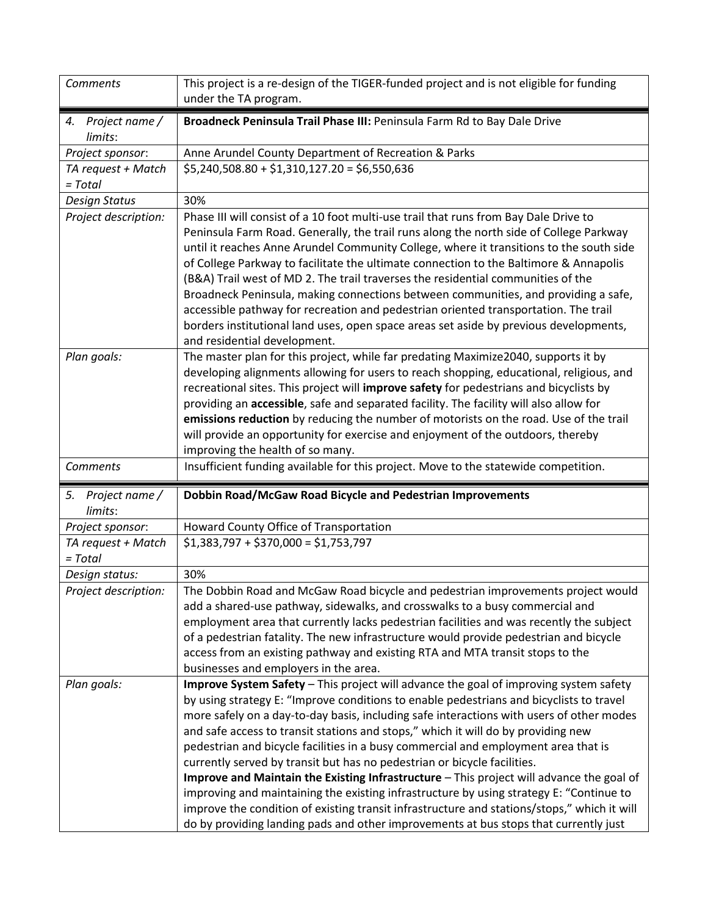| Comments                        | This project is a re-design of the TIGER-funded project and is not eligible for funding<br>under the TA program.                                                                                                                                                                                                                                                                                                                                                                                                                                                                                                                                                                                                                                             |
|---------------------------------|--------------------------------------------------------------------------------------------------------------------------------------------------------------------------------------------------------------------------------------------------------------------------------------------------------------------------------------------------------------------------------------------------------------------------------------------------------------------------------------------------------------------------------------------------------------------------------------------------------------------------------------------------------------------------------------------------------------------------------------------------------------|
| 4. Project name /<br>limits:    | Broadneck Peninsula Trail Phase III: Peninsula Farm Rd to Bay Dale Drive                                                                                                                                                                                                                                                                                                                                                                                                                                                                                                                                                                                                                                                                                     |
| Project sponsor:                | Anne Arundel County Department of Recreation & Parks                                                                                                                                                                                                                                                                                                                                                                                                                                                                                                                                                                                                                                                                                                         |
| TA request + Match              | $$5,240,508.80 + $1,310,127.20 = $6,550,636$                                                                                                                                                                                                                                                                                                                                                                                                                                                                                                                                                                                                                                                                                                                 |
| $= Total$                       |                                                                                                                                                                                                                                                                                                                                                                                                                                                                                                                                                                                                                                                                                                                                                              |
| <b>Design Status</b>            | 30%                                                                                                                                                                                                                                                                                                                                                                                                                                                                                                                                                                                                                                                                                                                                                          |
| Project description:            | Phase III will consist of a 10 foot multi-use trail that runs from Bay Dale Drive to<br>Peninsula Farm Road. Generally, the trail runs along the north side of College Parkway<br>until it reaches Anne Arundel Community College, where it transitions to the south side<br>of College Parkway to facilitate the ultimate connection to the Baltimore & Annapolis<br>(B&A) Trail west of MD 2. The trail traverses the residential communities of the<br>Broadneck Peninsula, making connections between communities, and providing a safe,<br>accessible pathway for recreation and pedestrian oriented transportation. The trail<br>borders institutional land uses, open space areas set aside by previous developments,<br>and residential development. |
| Plan goals:                     | The master plan for this project, while far predating Maximize2040, supports it by<br>developing alignments allowing for users to reach shopping, educational, religious, and<br>recreational sites. This project will improve safety for pedestrians and bicyclists by<br>providing an accessible, safe and separated facility. The facility will also allow for<br>emissions reduction by reducing the number of motorists on the road. Use of the trail<br>will provide an opportunity for exercise and enjoyment of the outdoors, thereby<br>improving the health of so many.                                                                                                                                                                            |
|                                 |                                                                                                                                                                                                                                                                                                                                                                                                                                                                                                                                                                                                                                                                                                                                                              |
| <b>Comments</b>                 | Insufficient funding available for this project. Move to the statewide competition.                                                                                                                                                                                                                                                                                                                                                                                                                                                                                                                                                                                                                                                                          |
| 5. Project name /<br>limits:    | Dobbin Road/McGaw Road Bicycle and Pedestrian Improvements                                                                                                                                                                                                                                                                                                                                                                                                                                                                                                                                                                                                                                                                                                   |
| Project sponsor:                | Howard County Office of Transportation                                                                                                                                                                                                                                                                                                                                                                                                                                                                                                                                                                                                                                                                                                                       |
| TA request + Match<br>$= Total$ | $$1,383,797 + $370,000 = $1,753,797$                                                                                                                                                                                                                                                                                                                                                                                                                                                                                                                                                                                                                                                                                                                         |
| Design status:                  | 30%                                                                                                                                                                                                                                                                                                                                                                                                                                                                                                                                                                                                                                                                                                                                                          |
| Project description:            | The Dobbin Road and McGaw Road bicycle and pedestrian improvements project would<br>add a shared-use pathway, sidewalks, and crosswalks to a busy commercial and<br>employment area that currently lacks pedestrian facilities and was recently the subject<br>of a pedestrian fatality. The new infrastructure would provide pedestrian and bicycle<br>access from an existing pathway and existing RTA and MTA transit stops to the<br>businesses and employers in the area.                                                                                                                                                                                                                                                                               |
| Plan goals:                     | Improve System Safety - This project will advance the goal of improving system safety                                                                                                                                                                                                                                                                                                                                                                                                                                                                                                                                                                                                                                                                        |
|                                 | by using strategy E: "Improve conditions to enable pedestrians and bicyclists to travel                                                                                                                                                                                                                                                                                                                                                                                                                                                                                                                                                                                                                                                                      |
|                                 | more safely on a day-to-day basis, including safe interactions with users of other modes                                                                                                                                                                                                                                                                                                                                                                                                                                                                                                                                                                                                                                                                     |
|                                 | and safe access to transit stations and stops," which it will do by providing new                                                                                                                                                                                                                                                                                                                                                                                                                                                                                                                                                                                                                                                                            |
|                                 | pedestrian and bicycle facilities in a busy commercial and employment area that is                                                                                                                                                                                                                                                                                                                                                                                                                                                                                                                                                                                                                                                                           |
|                                 | currently served by transit but has no pedestrian or bicycle facilities.                                                                                                                                                                                                                                                                                                                                                                                                                                                                                                                                                                                                                                                                                     |
|                                 | Improve and Maintain the Existing Infrastructure - This project will advance the goal of                                                                                                                                                                                                                                                                                                                                                                                                                                                                                                                                                                                                                                                                     |
|                                 | improving and maintaining the existing infrastructure by using strategy E: "Continue to<br>improve the condition of existing transit infrastructure and stations/stops," which it will                                                                                                                                                                                                                                                                                                                                                                                                                                                                                                                                                                       |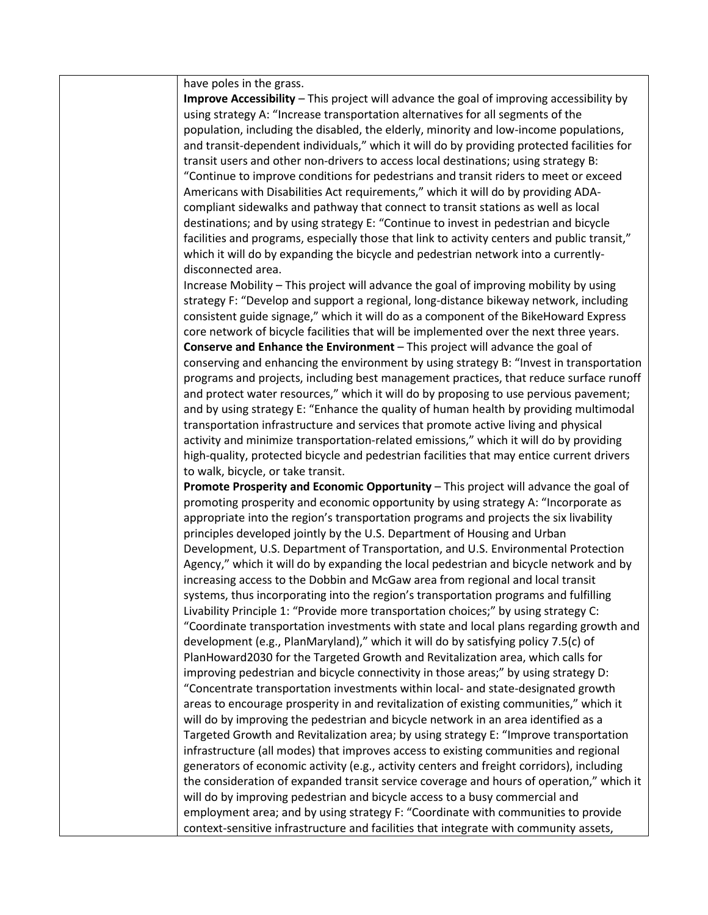have poles in the grass.

**Improve Accessibility** – This project will advance the goal of improving accessibility by using strategy A: "Increase transportation alternatives for all segments of the population, including the disabled, the elderly, minority and low-income populations, and transit-dependent individuals," which it will do by providing protected facilities for transit users and other non-drivers to access local destinations; using strategy B: "Continue to improve conditions for pedestrians and transit riders to meet or exceed Americans with Disabilities Act requirements," which it will do by providing ADAcompliant sidewalks and pathway that connect to transit stations as well as local destinations; and by using strategy E: "Continue to invest in pedestrian and bicycle facilities and programs, especially those that link to activity centers and public transit," which it will do by expanding the bicycle and pedestrian network into a currentlydisconnected area.

Increase Mobility – This project will advance the goal of improving mobility by using strategy F: "Develop and support a regional, long-distance bikeway network, including consistent guide signage," which it will do as a component of the BikeHoward Express core network of bicycle facilities that will be implemented over the next three years. **Conserve and Enhance the Environment** – This project will advance the goal of conserving and enhancing the environment by using strategy B: "Invest in transportation programs and projects, including best management practices, that reduce surface runoff and protect water resources," which it will do by proposing to use pervious pavement; and by using strategy E: "Enhance the quality of human health by providing multimodal transportation infrastructure and services that promote active living and physical activity and minimize transportation-related emissions," which it will do by providing high-quality, protected bicycle and pedestrian facilities that may entice current drivers to walk, bicycle, or take transit.

**Promote Prosperity and Economic Opportunity** – This project will advance the goal of promoting prosperity and economic opportunity by using strategy A: "Incorporate as appropriate into the region's transportation programs and projects the six livability principles developed jointly by the U.S. Department of Housing and Urban Development, U.S. Department of Transportation, and U.S. Environmental Protection Agency," which it will do by expanding the local pedestrian and bicycle network and by increasing access to the Dobbin and McGaw area from regional and local transit systems, thus incorporating into the region's transportation programs and fulfilling Livability Principle 1: "Provide more transportation choices;" by using strategy C: "Coordinate transportation investments with state and local plans regarding growth and development (e.g., PlanMaryland)," which it will do by satisfying policy 7.5(c) of PlanHoward2030 for the Targeted Growth and Revitalization area, which calls for improving pedestrian and bicycle connectivity in those areas;" by using strategy D: "Concentrate transportation investments within local- and state-designated growth areas to encourage prosperity in and revitalization of existing communities," which it will do by improving the pedestrian and bicycle network in an area identified as a Targeted Growth and Revitalization area; by using strategy E: "Improve transportation infrastructure (all modes) that improves access to existing communities and regional generators of economic activity (e.g., activity centers and freight corridors), including the consideration of expanded transit service coverage and hours of operation," which it will do by improving pedestrian and bicycle access to a busy commercial and employment area; and by using strategy F: "Coordinate with communities to provide context-sensitive infrastructure and facilities that integrate with community assets,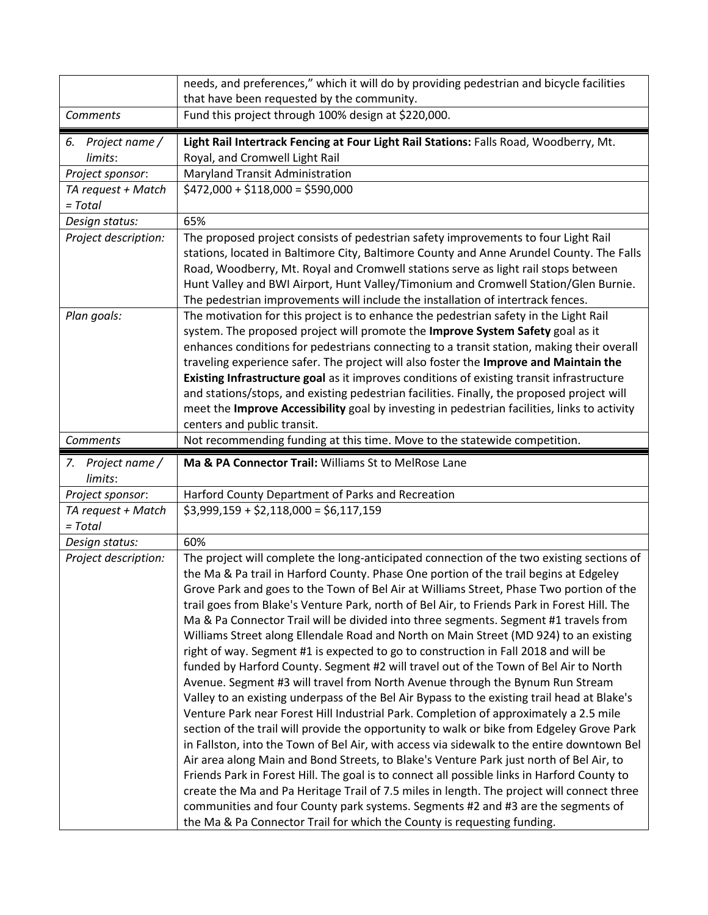|                                                  | needs, and preferences," which it will do by providing pedestrian and bicycle facilities<br>that have been requested by the community.                                                                                                                                                                                                                                                                                                                                                                                                                                                                                                                                                  |
|--------------------------------------------------|-----------------------------------------------------------------------------------------------------------------------------------------------------------------------------------------------------------------------------------------------------------------------------------------------------------------------------------------------------------------------------------------------------------------------------------------------------------------------------------------------------------------------------------------------------------------------------------------------------------------------------------------------------------------------------------------|
| Comments                                         | Fund this project through 100% design at \$220,000.                                                                                                                                                                                                                                                                                                                                                                                                                                                                                                                                                                                                                                     |
| 6. Project name /<br>limits:<br>Project sponsor: | Light Rail Intertrack Fencing at Four Light Rail Stations: Falls Road, Woodberry, Mt.<br>Royal, and Cromwell Light Rail<br>Maryland Transit Administration                                                                                                                                                                                                                                                                                                                                                                                                                                                                                                                              |
| TA request + Match<br>$= Total$                  | $$472,000 + $118,000 = $590,000$                                                                                                                                                                                                                                                                                                                                                                                                                                                                                                                                                                                                                                                        |
| Design status:                                   | 65%                                                                                                                                                                                                                                                                                                                                                                                                                                                                                                                                                                                                                                                                                     |
| Project description:                             | The proposed project consists of pedestrian safety improvements to four Light Rail<br>stations, located in Baltimore City, Baltimore County and Anne Arundel County. The Falls<br>Road, Woodberry, Mt. Royal and Cromwell stations serve as light rail stops between<br>Hunt Valley and BWI Airport, Hunt Valley/Timonium and Cromwell Station/Glen Burnie.<br>The pedestrian improvements will include the installation of intertrack fences.                                                                                                                                                                                                                                          |
| Plan goals:                                      | The motivation for this project is to enhance the pedestrian safety in the Light Rail<br>system. The proposed project will promote the Improve System Safety goal as it<br>enhances conditions for pedestrians connecting to a transit station, making their overall<br>traveling experience safer. The project will also foster the Improve and Maintain the<br>Existing Infrastructure goal as it improves conditions of existing transit infrastructure<br>and stations/stops, and existing pedestrian facilities. Finally, the proposed project will<br>meet the Improve Accessibility goal by investing in pedestrian facilities, links to activity<br>centers and public transit. |
| Comments                                         | Not recommending funding at this time. Move to the statewide competition.                                                                                                                                                                                                                                                                                                                                                                                                                                                                                                                                                                                                               |
|                                                  |                                                                                                                                                                                                                                                                                                                                                                                                                                                                                                                                                                                                                                                                                         |
| 7. Project name /<br>limits:                     | Ma & PA Connector Trail: Williams St to MelRose Lane                                                                                                                                                                                                                                                                                                                                                                                                                                                                                                                                                                                                                                    |
| Project sponsor:                                 | Harford County Department of Parks and Recreation                                                                                                                                                                                                                                                                                                                                                                                                                                                                                                                                                                                                                                       |
| TA request + Match<br>= Total                    | $$3,999,159 + $2,118,000 = $6,117,159$                                                                                                                                                                                                                                                                                                                                                                                                                                                                                                                                                                                                                                                  |
| Design status:                                   | 60%<br>The project will complete the long-anticipated connection of the two existing sections of                                                                                                                                                                                                                                                                                                                                                                                                                                                                                                                                                                                        |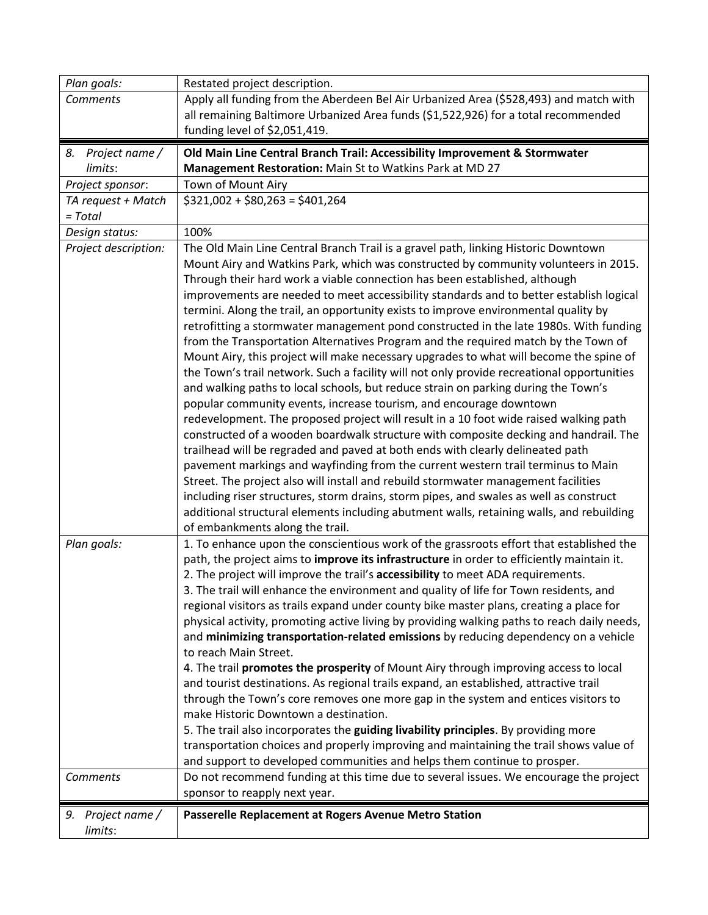| Plan goals:          | Restated project description.                                                                                                                                                        |
|----------------------|--------------------------------------------------------------------------------------------------------------------------------------------------------------------------------------|
| <b>Comments</b>      | Apply all funding from the Aberdeen Bel Air Urbanized Area (\$528,493) and match with                                                                                                |
|                      | all remaining Baltimore Urbanized Area funds (\$1,522,926) for a total recommended                                                                                                   |
|                      | funding level of \$2,051,419.                                                                                                                                                        |
| Project name /<br>8. | Old Main Line Central Branch Trail: Accessibility Improvement & Stormwater                                                                                                           |
| limits:              | Management Restoration: Main St to Watkins Park at MD 27                                                                                                                             |
| Project sponsor:     | Town of Mount Airy                                                                                                                                                                   |
| TA request + Match   | $$321,002 + $80,263 = $401,264$                                                                                                                                                      |
| $= Total$            |                                                                                                                                                                                      |
| Design status:       | 100%                                                                                                                                                                                 |
| Project description: | The Old Main Line Central Branch Trail is a gravel path, linking Historic Downtown                                                                                                   |
|                      | Mount Airy and Watkins Park, which was constructed by community volunteers in 2015.                                                                                                  |
|                      | Through their hard work a viable connection has been established, although                                                                                                           |
|                      | improvements are needed to meet accessibility standards and to better establish logical<br>termini. Along the trail, an opportunity exists to improve environmental quality by       |
|                      | retrofitting a stormwater management pond constructed in the late 1980s. With funding                                                                                                |
|                      | from the Transportation Alternatives Program and the required match by the Town of                                                                                                   |
|                      | Mount Airy, this project will make necessary upgrades to what will become the spine of                                                                                               |
|                      | the Town's trail network. Such a facility will not only provide recreational opportunities                                                                                           |
|                      | and walking paths to local schools, but reduce strain on parking during the Town's                                                                                                   |
|                      | popular community events, increase tourism, and encourage downtown                                                                                                                   |
|                      | redevelopment. The proposed project will result in a 10 foot wide raised walking path                                                                                                |
|                      | constructed of a wooden boardwalk structure with composite decking and handrail. The                                                                                                 |
|                      | trailhead will be regraded and paved at both ends with clearly delineated path                                                                                                       |
|                      | pavement markings and wayfinding from the current western trail terminus to Main                                                                                                     |
|                      | Street. The project also will install and rebuild stormwater management facilities                                                                                                   |
|                      | including riser structures, storm drains, storm pipes, and swales as well as construct                                                                                               |
|                      | additional structural elements including abutment walls, retaining walls, and rebuilding                                                                                             |
| Plan goals:          | of embankments along the trail.                                                                                                                                                      |
|                      | 1. To enhance upon the conscientious work of the grassroots effort that established the<br>path, the project aims to improve its infrastructure in order to efficiently maintain it. |
|                      | 2. The project will improve the trail's accessibility to meet ADA requirements.                                                                                                      |
|                      | 3. The trail will enhance the environment and quality of life for Town residents, and                                                                                                |
|                      | regional visitors as trails expand under county bike master plans, creating a place for                                                                                              |
|                      | physical activity, promoting active living by providing walking paths to reach daily needs,                                                                                          |
|                      | and minimizing transportation-related emissions by reducing dependency on a vehicle                                                                                                  |
|                      | to reach Main Street.                                                                                                                                                                |
|                      | 4. The trail promotes the prosperity of Mount Airy through improving access to local                                                                                                 |
|                      | and tourist destinations. As regional trails expand, an established, attractive trail                                                                                                |
|                      | through the Town's core removes one more gap in the system and entices visitors to                                                                                                   |
|                      | make Historic Downtown a destination.                                                                                                                                                |
|                      | 5. The trail also incorporates the guiding livability principles. By providing more                                                                                                  |
|                      | transportation choices and properly improving and maintaining the trail shows value of                                                                                               |
|                      | and support to developed communities and helps them continue to prosper.                                                                                                             |
| Comments             | Do not recommend funding at this time due to several issues. We encourage the project<br>sponsor to reapply next year.                                                               |
|                      |                                                                                                                                                                                      |
| 9. Project name /    | Passerelle Replacement at Rogers Avenue Metro Station                                                                                                                                |
| limits:              |                                                                                                                                                                                      |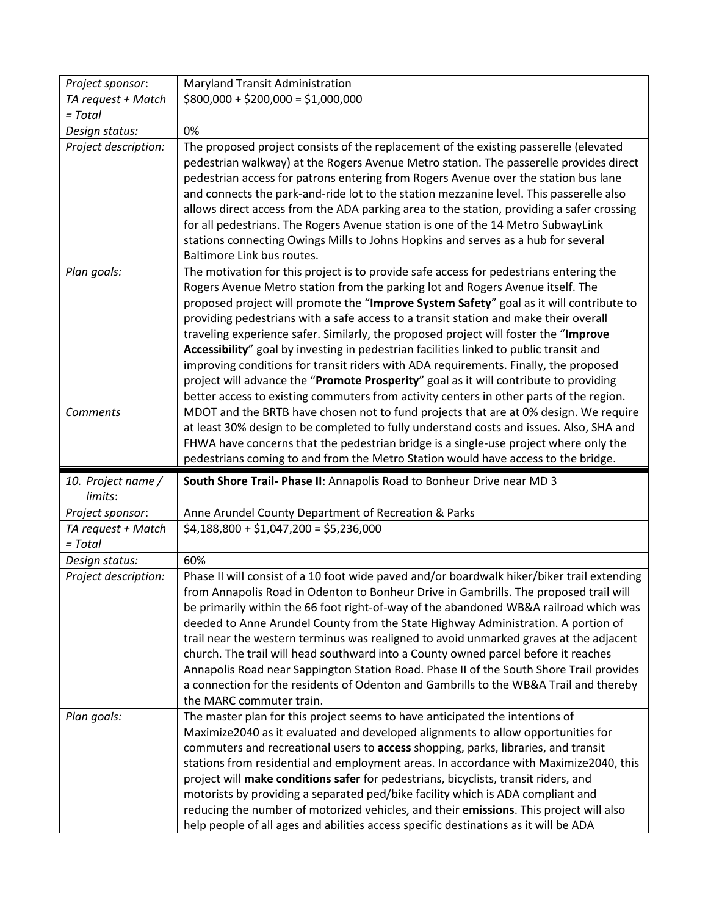| Project sponsor:                | Maryland Transit Administration                                                                                                                                                                                                                                                                                                                                                                                                                                                                                                                                                                                                                                                                                                                                                                                           |
|---------------------------------|---------------------------------------------------------------------------------------------------------------------------------------------------------------------------------------------------------------------------------------------------------------------------------------------------------------------------------------------------------------------------------------------------------------------------------------------------------------------------------------------------------------------------------------------------------------------------------------------------------------------------------------------------------------------------------------------------------------------------------------------------------------------------------------------------------------------------|
| TA request + Match              | $$800,000 + $200,000 = $1,000,000$                                                                                                                                                                                                                                                                                                                                                                                                                                                                                                                                                                                                                                                                                                                                                                                        |
| $= Total$                       |                                                                                                                                                                                                                                                                                                                                                                                                                                                                                                                                                                                                                                                                                                                                                                                                                           |
| Design status:                  | 0%                                                                                                                                                                                                                                                                                                                                                                                                                                                                                                                                                                                                                                                                                                                                                                                                                        |
| Project description:            | The proposed project consists of the replacement of the existing passerelle (elevated<br>pedestrian walkway) at the Rogers Avenue Metro station. The passerelle provides direct<br>pedestrian access for patrons entering from Rogers Avenue over the station bus lane<br>and connects the park-and-ride lot to the station mezzanine level. This passerelle also<br>allows direct access from the ADA parking area to the station, providing a safer crossing<br>for all pedestrians. The Rogers Avenue station is one of the 14 Metro SubwayLink<br>stations connecting Owings Mills to Johns Hopkins and serves as a hub for several<br>Baltimore Link bus routes.                                                                                                                                                     |
| Plan goals:                     | The motivation for this project is to provide safe access for pedestrians entering the<br>Rogers Avenue Metro station from the parking lot and Rogers Avenue itself. The<br>proposed project will promote the "Improve System Safety" goal as it will contribute to<br>providing pedestrians with a safe access to a transit station and make their overall<br>traveling experience safer. Similarly, the proposed project will foster the "Improve<br>Accessibility" goal by investing in pedestrian facilities linked to public transit and<br>improving conditions for transit riders with ADA requirements. Finally, the proposed<br>project will advance the "Promote Prosperity" goal as it will contribute to providing<br>better access to existing commuters from activity centers in other parts of the region. |
| <b>Comments</b>                 | MDOT and the BRTB have chosen not to fund projects that are at 0% design. We require<br>at least 30% design to be completed to fully understand costs and issues. Also, SHA and<br>FHWA have concerns that the pedestrian bridge is a single-use project where only the<br>pedestrians coming to and from the Metro Station would have access to the bridge.                                                                                                                                                                                                                                                                                                                                                                                                                                                              |
| 10. Project name /<br>limits:   | South Shore Trail- Phase II: Annapolis Road to Bonheur Drive near MD 3                                                                                                                                                                                                                                                                                                                                                                                                                                                                                                                                                                                                                                                                                                                                                    |
| Project sponsor:                | Anne Arundel County Department of Recreation & Parks                                                                                                                                                                                                                                                                                                                                                                                                                                                                                                                                                                                                                                                                                                                                                                      |
| TA request + Match<br>$= Total$ | $$4,188,800 + $1,047,200 = $5,236,000$                                                                                                                                                                                                                                                                                                                                                                                                                                                                                                                                                                                                                                                                                                                                                                                    |
| Design status:                  | 60%                                                                                                                                                                                                                                                                                                                                                                                                                                                                                                                                                                                                                                                                                                                                                                                                                       |
| Project description:            | Phase II will consist of a 10 foot wide paved and/or boardwalk hiker/biker trail extending<br>from Annapolis Road in Odenton to Bonheur Drive in Gambrills. The proposed trail will<br>be primarily within the 66 foot right-of-way of the abandoned WB&A railroad which was<br>deeded to Anne Arundel County from the State Highway Administration. A portion of<br>trail near the western terminus was realigned to avoid unmarked graves at the adjacent<br>church. The trail will head southward into a County owned parcel before it reaches<br>Annapolis Road near Sappington Station Road. Phase II of the South Shore Trail provides<br>a connection for the residents of Odenton and Gambrills to the WB&A Trail and thereby<br>the MARC commuter train.                                                         |
| Plan goals:                     | The master plan for this project seems to have anticipated the intentions of<br>Maximize2040 as it evaluated and developed alignments to allow opportunities for<br>commuters and recreational users to access shopping, parks, libraries, and transit<br>stations from residential and employment areas. In accordance with Maximize2040, this<br>project will make conditions safer for pedestrians, bicyclists, transit riders, and<br>motorists by providing a separated ped/bike facility which is ADA compliant and<br>reducing the number of motorized vehicles, and their emissions. This project will also                                                                                                                                                                                                       |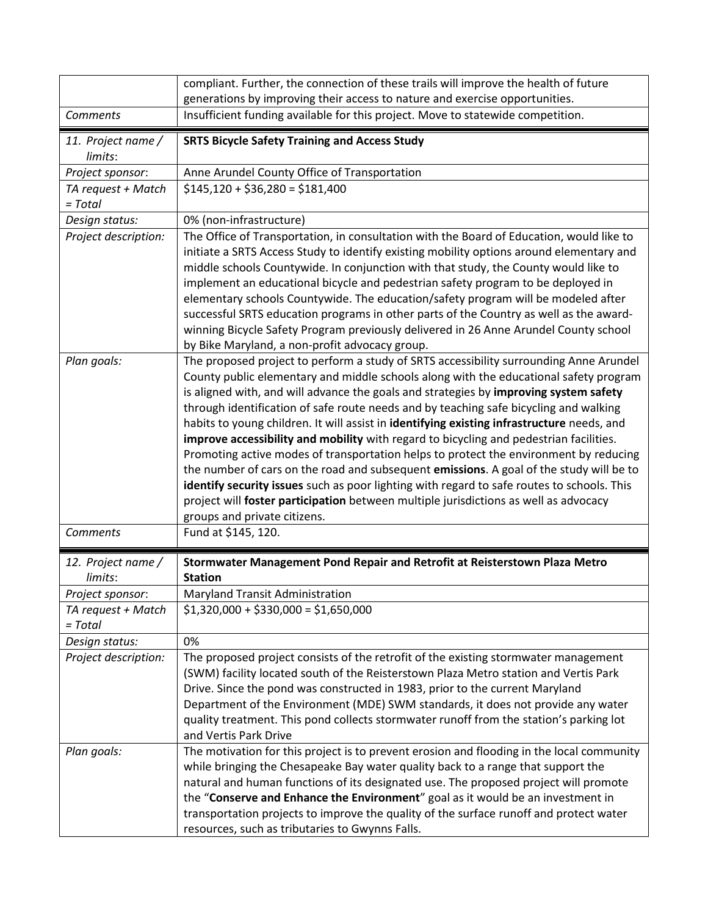|                                 | compliant. Further, the connection of these trails will improve the health of future<br>generations by improving their access to nature and exercise opportunities.                                                                                                                                                                                                                                                                                                                                                                                                                                                                                                                                                                                                                                                                                                                                                                                                 |
|---------------------------------|---------------------------------------------------------------------------------------------------------------------------------------------------------------------------------------------------------------------------------------------------------------------------------------------------------------------------------------------------------------------------------------------------------------------------------------------------------------------------------------------------------------------------------------------------------------------------------------------------------------------------------------------------------------------------------------------------------------------------------------------------------------------------------------------------------------------------------------------------------------------------------------------------------------------------------------------------------------------|
| Comments                        | Insufficient funding available for this project. Move to statewide competition.                                                                                                                                                                                                                                                                                                                                                                                                                                                                                                                                                                                                                                                                                                                                                                                                                                                                                     |
| 11. Project name /<br>limits:   | <b>SRTS Bicycle Safety Training and Access Study</b>                                                                                                                                                                                                                                                                                                                                                                                                                                                                                                                                                                                                                                                                                                                                                                                                                                                                                                                |
| Project sponsor:                | Anne Arundel County Office of Transportation                                                                                                                                                                                                                                                                                                                                                                                                                                                                                                                                                                                                                                                                                                                                                                                                                                                                                                                        |
| TA request + Match<br>$= Total$ | $$145,120 + $36,280 = $181,400$                                                                                                                                                                                                                                                                                                                                                                                                                                                                                                                                                                                                                                                                                                                                                                                                                                                                                                                                     |
| Design status:                  | 0% (non-infrastructure)                                                                                                                                                                                                                                                                                                                                                                                                                                                                                                                                                                                                                                                                                                                                                                                                                                                                                                                                             |
| Project description:            | The Office of Transportation, in consultation with the Board of Education, would like to<br>initiate a SRTS Access Study to identify existing mobility options around elementary and<br>middle schools Countywide. In conjunction with that study, the County would like to<br>implement an educational bicycle and pedestrian safety program to be deployed in<br>elementary schools Countywide. The education/safety program will be modeled after<br>successful SRTS education programs in other parts of the Country as well as the award-<br>winning Bicycle Safety Program previously delivered in 26 Anne Arundel County school<br>by Bike Maryland, a non-profit advocacy group.                                                                                                                                                                                                                                                                            |
| Plan goals:                     | The proposed project to perform a study of SRTS accessibility surrounding Anne Arundel<br>County public elementary and middle schools along with the educational safety program<br>is aligned with, and will advance the goals and strategies by improving system safety<br>through identification of safe route needs and by teaching safe bicycling and walking<br>habits to young children. It will assist in identifying existing infrastructure needs, and<br>improve accessibility and mobility with regard to bicycling and pedestrian facilities.<br>Promoting active modes of transportation helps to protect the environment by reducing<br>the number of cars on the road and subsequent emissions. A goal of the study will be to<br>identify security issues such as poor lighting with regard to safe routes to schools. This<br>project will foster participation between multiple jurisdictions as well as advocacy<br>groups and private citizens. |
| <b>Comments</b>                 | Fund at \$145, 120.                                                                                                                                                                                                                                                                                                                                                                                                                                                                                                                                                                                                                                                                                                                                                                                                                                                                                                                                                 |
| 12. Project name /<br>limits:   | Stormwater Management Pond Repair and Retrofit at Reisterstown Plaza Metro<br><b>Station</b>                                                                                                                                                                                                                                                                                                                                                                                                                                                                                                                                                                                                                                                                                                                                                                                                                                                                        |
| Project sponsor:                | Maryland Transit Administration                                                                                                                                                                                                                                                                                                                                                                                                                                                                                                                                                                                                                                                                                                                                                                                                                                                                                                                                     |
| TA request + Match<br>$= Total$ | $$1,320,000 + $330,000 = $1,650,000$                                                                                                                                                                                                                                                                                                                                                                                                                                                                                                                                                                                                                                                                                                                                                                                                                                                                                                                                |
| Design status:                  | 0%                                                                                                                                                                                                                                                                                                                                                                                                                                                                                                                                                                                                                                                                                                                                                                                                                                                                                                                                                                  |
| Project description:            | The proposed project consists of the retrofit of the existing stormwater management<br>(SWM) facility located south of the Reisterstown Plaza Metro station and Vertis Park<br>Drive. Since the pond was constructed in 1983, prior to the current Maryland<br>Department of the Environment (MDE) SWM standards, it does not provide any water<br>quality treatment. This pond collects stormwater runoff from the station's parking lot<br>and Vertis Park Drive                                                                                                                                                                                                                                                                                                                                                                                                                                                                                                  |
| Plan goals:                     | The motivation for this project is to prevent erosion and flooding in the local community<br>while bringing the Chesapeake Bay water quality back to a range that support the<br>natural and human functions of its designated use. The proposed project will promote<br>the "Conserve and Enhance the Environment" goal as it would be an investment in<br>transportation projects to improve the quality of the surface runoff and protect water<br>resources, such as tributaries to Gwynns Falls.                                                                                                                                                                                                                                                                                                                                                                                                                                                               |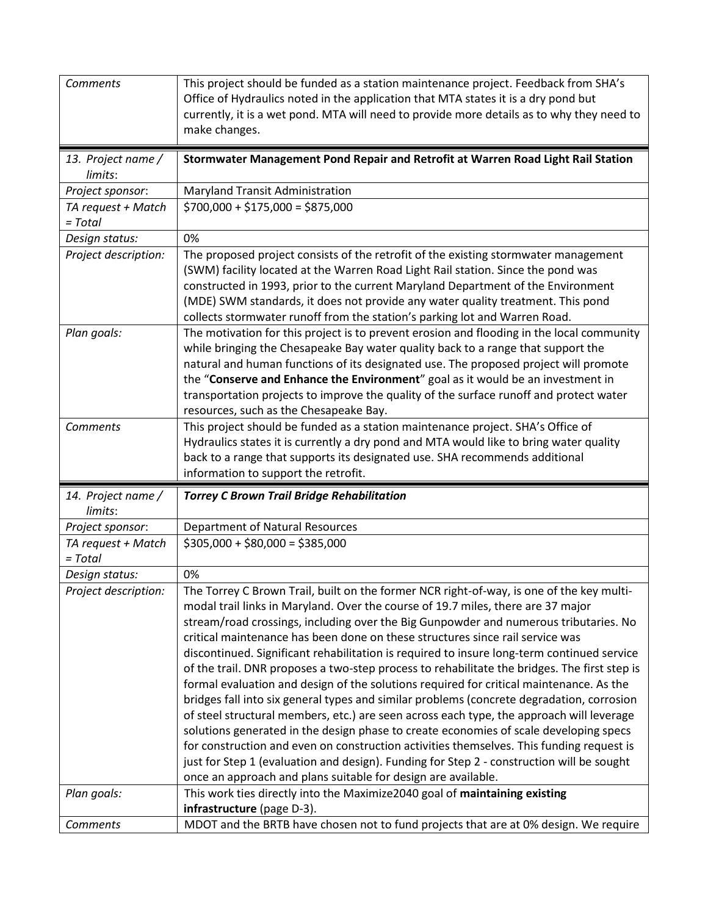| Comments                        | This project should be funded as a station maintenance project. Feedback from SHA's<br>Office of Hydraulics noted in the application that MTA states it is a dry pond but<br>currently, it is a wet pond. MTA will need to provide more details as to why they need to<br>make changes.                                                                                                                                                                                                                                                                                                                                                                                                                                                                                                                                                                                                                                                                                                                                      |
|---------------------------------|------------------------------------------------------------------------------------------------------------------------------------------------------------------------------------------------------------------------------------------------------------------------------------------------------------------------------------------------------------------------------------------------------------------------------------------------------------------------------------------------------------------------------------------------------------------------------------------------------------------------------------------------------------------------------------------------------------------------------------------------------------------------------------------------------------------------------------------------------------------------------------------------------------------------------------------------------------------------------------------------------------------------------|
| 13. Project name /<br>limits:   | Stormwater Management Pond Repair and Retrofit at Warren Road Light Rail Station                                                                                                                                                                                                                                                                                                                                                                                                                                                                                                                                                                                                                                                                                                                                                                                                                                                                                                                                             |
| Project sponsor:                | Maryland Transit Administration                                                                                                                                                                                                                                                                                                                                                                                                                                                                                                                                                                                                                                                                                                                                                                                                                                                                                                                                                                                              |
| TA request + Match<br>$= Total$ | $$700,000 + $175,000 = $875,000$                                                                                                                                                                                                                                                                                                                                                                                                                                                                                                                                                                                                                                                                                                                                                                                                                                                                                                                                                                                             |
| Design status:                  | 0%                                                                                                                                                                                                                                                                                                                                                                                                                                                                                                                                                                                                                                                                                                                                                                                                                                                                                                                                                                                                                           |
| Project description:            | The proposed project consists of the retrofit of the existing stormwater management<br>(SWM) facility located at the Warren Road Light Rail station. Since the pond was<br>constructed in 1993, prior to the current Maryland Department of the Environment<br>(MDE) SWM standards, it does not provide any water quality treatment. This pond<br>collects stormwater runoff from the station's parking lot and Warren Road.                                                                                                                                                                                                                                                                                                                                                                                                                                                                                                                                                                                                 |
| Plan goals:                     | The motivation for this project is to prevent erosion and flooding in the local community<br>while bringing the Chesapeake Bay water quality back to a range that support the<br>natural and human functions of its designated use. The proposed project will promote<br>the "Conserve and Enhance the Environment" goal as it would be an investment in<br>transportation projects to improve the quality of the surface runoff and protect water<br>resources, such as the Chesapeake Bay.                                                                                                                                                                                                                                                                                                                                                                                                                                                                                                                                 |
| Comments                        | This project should be funded as a station maintenance project. SHA's Office of<br>Hydraulics states it is currently a dry pond and MTA would like to bring water quality                                                                                                                                                                                                                                                                                                                                                                                                                                                                                                                                                                                                                                                                                                                                                                                                                                                    |
|                                 | back to a range that supports its designated use. SHA recommends additional<br>information to support the retrofit.                                                                                                                                                                                                                                                                                                                                                                                                                                                                                                                                                                                                                                                                                                                                                                                                                                                                                                          |
| 14. Project name /<br>limits:   | <b>Torrey C Brown Trail Bridge Rehabilitation</b>                                                                                                                                                                                                                                                                                                                                                                                                                                                                                                                                                                                                                                                                                                                                                                                                                                                                                                                                                                            |
| Project sponsor:                | <b>Department of Natural Resources</b>                                                                                                                                                                                                                                                                                                                                                                                                                                                                                                                                                                                                                                                                                                                                                                                                                                                                                                                                                                                       |
| TA request + Match<br>$= Total$ | $$305,000 + $80,000 = $385,000$                                                                                                                                                                                                                                                                                                                                                                                                                                                                                                                                                                                                                                                                                                                                                                                                                                                                                                                                                                                              |
| Design status:                  | 0%                                                                                                                                                                                                                                                                                                                                                                                                                                                                                                                                                                                                                                                                                                                                                                                                                                                                                                                                                                                                                           |
| Project description:            | The Torrey C Brown Trail, built on the former NCR right-of-way, is one of the key multi-<br>modal trail links in Maryland. Over the course of 19.7 miles, there are 37 major<br>stream/road crossings, including over the Big Gunpowder and numerous tributaries. No<br>critical maintenance has been done on these structures since rail service was<br>discontinued. Significant rehabilitation is required to insure long-term continued service<br>of the trail. DNR proposes a two-step process to rehabilitate the bridges. The first step is<br>formal evaluation and design of the solutions required for critical maintenance. As the<br>bridges fall into six general types and similar problems (concrete degradation, corrosion<br>of steel structural members, etc.) are seen across each type, the approach will leverage<br>solutions generated in the design phase to create economies of scale developing specs<br>for construction and even on construction activities themselves. This funding request is |
|                                 | just for Step 1 (evaluation and design). Funding for Step 2 - construction will be sought<br>once an approach and plans suitable for design are available.                                                                                                                                                                                                                                                                                                                                                                                                                                                                                                                                                                                                                                                                                                                                                                                                                                                                   |
| Plan goals:                     | This work ties directly into the Maximize2040 goal of maintaining existing<br>infrastructure (page D-3).<br>MDOT and the BRTB have chosen not to fund projects that are at 0% design. We require                                                                                                                                                                                                                                                                                                                                                                                                                                                                                                                                                                                                                                                                                                                                                                                                                             |